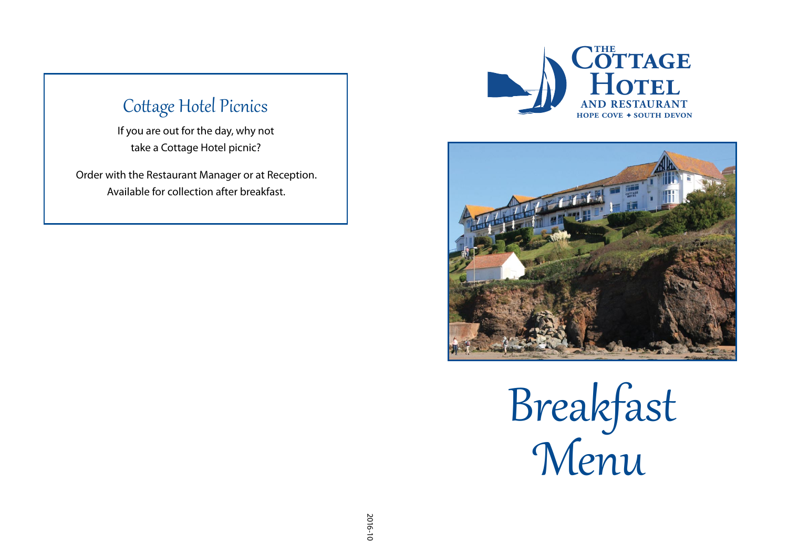## Cottage Hotel Picnics

If you are out for the day, why not take a Cottage Hotel picnic?

Order with the Restaurant Manager or at Reception. Available for collection after breakfast.





Breakfast �enu  **AND RESTAURANT**